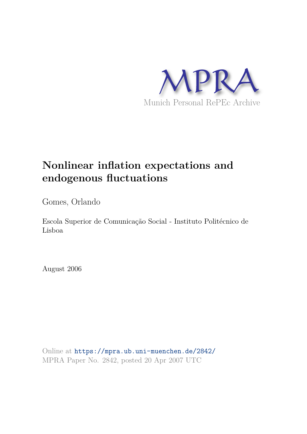

# **Nonlinear inflation expectations and endogenous fluctuations**

Gomes, Orlando

Escola Superior de Comunicação Social - Instituto Politécnico de Lisboa

August 2006

Online at https://mpra.ub.uni-muenchen.de/2842/ MPRA Paper No. 2842, posted 20 Apr 2007 UTC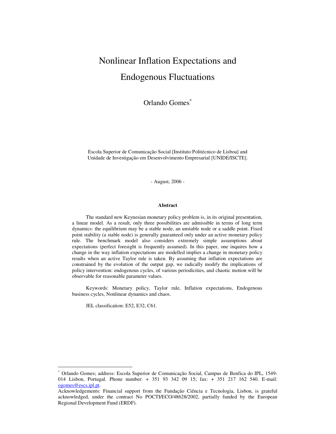## Nonlinear Inflation Expectations and Endogenous Fluctuations

Orlando Gomes<sup>∗</sup>

Escola Superior de Comunicação Social [Instituto Politécnico de Lisboa] and Unidade de Investigação em Desenvolvimento Empresarial [UNIDE/ISCTE].

- August, 2006 -

#### **Abstract**

The standard new Keynesian monetary policy problem is, in its original presentation, a linear model. As a result, only three possibilities are admissible in terms of long term dynamics: the equilibrium may be a stable node, an unstable node or a saddle point. Fixed point stability (a stable node) is generally guaranteed only under an active monetary policy rule. The benchmark model also considers extremely simple assumptions about expectations (perfect foresight is frequently assumed). In this paper, one inquires how a change in the way inflation expectations are modelled implies a change in monetary policy results when an active Taylor rule is taken. By assuming that inflation expectations are constrained by the evolution of the output gap, we radically modify the implications of policy intervention: endogenous cycles, of various periodicities, and chaotic motion will be observable for reasonable parameter values.

Keywords: Monetary policy, Taylor rule, Inflation expectations, Endogenous business cycles, Nonlinear dynamics and chaos.

JEL classification: E52, E32, C61.

 $\overline{a}$ 

<sup>∗</sup> Orlando Gomes; address: Escola Superior de Comunicação Social, Campus de Benfica do IPL, 1549- 014 Lisbon, Portugal. Phone number: + 351 93 342 09 15; fax: + 351 217 162 540. E-mail: ogomes@escs.ipl.pt.

Acknowledgements: Financial support from the Fundação Ciência e Tecnologia, Lisbon, is grateful acknowledged, under the contract No POCTI/ECO/48628/2002, partially funded by the European Regional Development Fund (ERDF).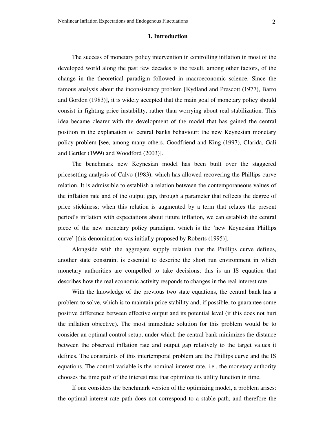#### **1. Introduction**

The success of monetary policy intervention in controlling inflation in most of the developed world along the past few decades is the result, among other factors, of the change in the theoretical paradigm followed in macroeconomic science. Since the famous analysis about the inconsistency problem [Kydland and Prescott (1977), Barro and Gordon (1983)], it is widely accepted that the main goal of monetary policy should consist in fighting price instability, rather than worrying about real stabilization. This idea became clearer with the development of the model that has gained the central position in the explanation of central banks behaviour: the new Keynesian monetary policy problem [see, among many others, Goodfriend and King (1997), Clarida, Gali and Gertler (1999) and Woodford (2003)].

The benchmark new Keynesian model has been built over the staggered pricesetting analysis of Calvo (1983), which has allowed recovering the Phillips curve relation. It is admissible to establish a relation between the contemporaneous values of the inflation rate and of the output gap, through a parameter that reflects the degree of price stickiness; when this relation is augmented by a term that relates the present period's inflation with expectations about future inflation, we can establish the central piece of the new monetary policy paradigm, which is the 'new Keynesian Phillips curve' [this denomination was initially proposed by Roberts (1995)].

Alongside with the aggregate supply relation that the Phillips curve defines, another state constraint is essential to describe the short run environment in which monetary authorities are compelled to take decisions; this is an IS equation that describes how the real economic activity responds to changes in the real interest rate.

With the knowledge of the previous two state equations, the central bank has a problem to solve, which is to maintain price stability and, if possible, to guarantee some positive difference between effective output and its potential level (if this does not hurt the inflation objective). The most immediate solution for this problem would be to consider an optimal control setup, under which the central bank minimizes the distance between the observed inflation rate and output gap relatively to the target values it defines. The constraints of this intertemporal problem are the Phillips curve and the IS equations. The control variable is the nominal interest rate, i.e., the monetary authority chooses the time path of the interest rate that optimizes its utility function in time.

If one considers the benchmark version of the optimizing model, a problem arises: the optimal interest rate path does not correspond to a stable path, and therefore the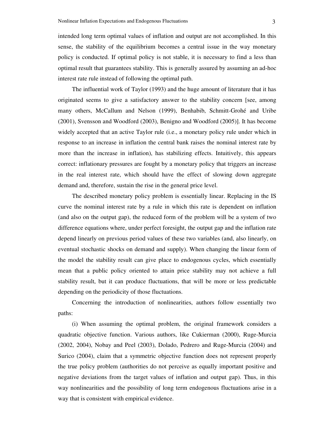intended long term optimal values of inflation and output are not accomplished. In this sense, the stability of the equilibrium becomes a central issue in the way monetary policy is conducted. If optimal policy is not stable, it is necessary to find a less than optimal result that guarantees stability. This is generally assured by assuming an ad-hoc interest rate rule instead of following the optimal path.

The influential work of Taylor (1993) and the huge amount of literature that it has originated seems to give a satisfactory answer to the stability concern [see, among many others, McCallum and Nelson (1999), Benhabib, Schmitt-Grohé and Uribe (2001), Svensson and Woodford (2003), Benigno and Woodford (2005)]. It has become widely accepted that an active Taylor rule (i.e., a monetary policy rule under which in response to an increase in inflation the central bank raises the nominal interest rate by more than the increase in inflation), has stabilizing effects. Intuitively, this appears correct: inflationary pressures are fought by a monetary policy that triggers an increase in the real interest rate, which should have the effect of slowing down aggregate demand and, therefore, sustain the rise in the general price level.

The described monetary policy problem is essentially linear. Replacing in the IS curve the nominal interest rate by a rule in which this rate is dependent on inflation (and also on the output gap), the reduced form of the problem will be a system of two difference equations where, under perfect foresight, the output gap and the inflation rate depend linearly on previous period values of these two variables (and, also linearly, on eventual stochastic shocks on demand and supply). When changing the linear form of the model the stability result can give place to endogenous cycles, which essentially mean that a public policy oriented to attain price stability may not achieve a full stability result, but it can produce fluctuations, that will be more or less predictable depending on the periodicity of those fluctuations.

Concerning the introduction of nonlinearities, authors follow essentially two paths:

(i) When assuming the optimal problem, the original framework considers a quadratic objective function. Various authors, like Cukierman (2000), Ruge-Murcia (2002, 2004), Nobay and Peel (2003), Dolado, Pedrero and Ruge-Murcia (2004) and Surico (2004), claim that a symmetric objective function does not represent properly the true policy problem (authorities do not perceive as equally important positive and negative deviations from the target values of inflation and output gap). Thus, in this way nonlinearities and the possibility of long term endogenous fluctuations arise in a way that is consistent with empirical evidence.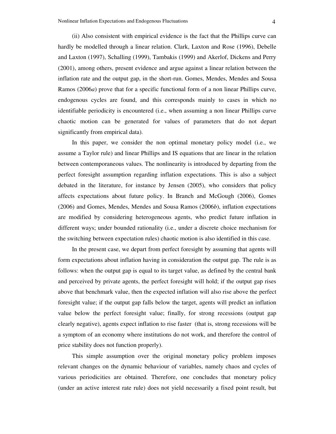(ii) Also consistent with empirical evidence is the fact that the Phillips curve can hardly be modelled through a linear relation. Clark, Laxton and Rose (1996), Debelle and Laxton (1997), Schalling (1999), Tambakis (1999) and Akerlof, Dickens and Perry (2001), among others, present evidence and argue against a linear relation between the inflation rate and the output gap, in the short-run. Gomes, Mendes, Mendes and Sousa Ramos (2006*a*) prove that for a specific functional form of a non linear Phillips curve, endogenous cycles are found, and this corresponds mainly to cases in which no identifiable periodicity is encountered (i.e., when assuming a non linear Phillips curve chaotic motion can be generated for values of parameters that do not depart significantly from empirical data).

In this paper, we consider the non optimal monetary policy model (i.e., we assume a Taylor rule) and linear Phillips and IS equations that are linear in the relation between contemporaneous values. The nonlinearity is introduced by departing from the perfect foresight assumption regarding inflation expectations. This is also a subject debated in the literature, for instance by Jensen (2005), who considers that policy affects expectations about future policy. In Branch and McGough (2006), Gomes (2006) and Gomes, Mendes, Mendes and Sousa Ramos (2006*b*), inflation expectations are modified by considering heterogeneous agents, who predict future inflation in different ways; under bounded rationality (i.e., under a discrete choice mechanism for the switching between expectation rules) chaotic motion is also identified in this case.

In the present case, we depart from perfect foresight by assuming that agents will form expectations about inflation having in consideration the output gap. The rule is as follows: when the output gap is equal to its target value, as defined by the central bank and perceived by private agents, the perfect foresight will hold; if the output gap rises above that benchmark value, then the expected inflation will also rise above the perfect foresight value; if the output gap falls below the target, agents will predict an inflation value below the perfect foresight value; finally, for strong recessions (output gap clearly negative), agents expect inflation to rise faster (that is, strong recessions will be a symptom of an economy where institutions do not work, and therefore the control of price stability does not function properly).

This simple assumption over the original monetary policy problem imposes relevant changes on the dynamic behaviour of variables, namely chaos and cycles of various periodicities are obtained. Therefore, one concludes that monetary policy (under an active interest rate rule) does not yield necessarily a fixed point result, but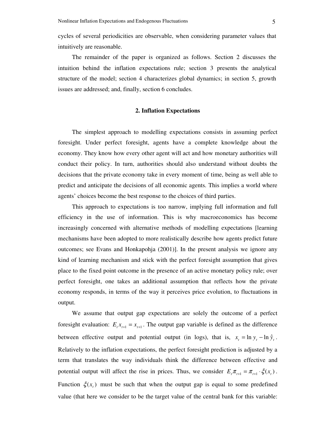cycles of several periodicities are observable, when considering parameter values that intuitively are reasonable.

The remainder of the paper is organized as follows. Section 2 discusses the intuition behind the inflation expectations rule; section 3 presents the analytical structure of the model; section 4 characterizes global dynamics; in section 5, growth issues are addressed; and, finally, section 6 concludes.

#### **2. Inflation Expectations**

The simplest approach to modelling expectations consists in assuming perfect foresight. Under perfect foresight, agents have a complete knowledge about the economy. They know how every other agent will act and how monetary authorities will conduct their policy. In turn, authorities should also understand without doubts the decisions that the private economy take in every moment of time, being as well able to predict and anticipate the decisions of all economic agents. This implies a world where agents' choices become the best response to the choices of third parties.

This approach to expectations is too narrow, implying full information and full efficiency in the use of information. This is why macroeconomics has become increasingly concerned with alternative methods of modelling expectations [learning mechanisms have been adopted to more realistically describe how agents predict future outcomes; see Evans and Honkapohja (2001)]. In the present analysis we ignore any kind of learning mechanism and stick with the perfect foresight assumption that gives place to the fixed point outcome in the presence of an active monetary policy rule; over perfect foresight, one takes an additional assumption that reflects how the private economy responds, in terms of the way it perceives price evolution, to fluctuations in output.

We assume that output gap expectations are solely the outcome of a perfect foresight evaluation:  $E_t x_{t+1} = x_{t+1}$ . The output gap variable is defined as the difference between effective output and potential output (in logs), that is,  $x_t = \ln y_t - \ln \hat{y}_t$ . Relatively to the inflation expectations, the perfect foresight prediction is adjusted by a term that translates the way individuals think the difference between effective and potential output will affect the rise in prices. Thus, we consider  $E_{i} \pi_{i+1} = \pi_{i+1} \cdot \xi(x_i)$ . Function  $\xi(x)$  must be such that when the output gap is equal to some predefined value (that here we consider to be the target value of the central bank for this variable: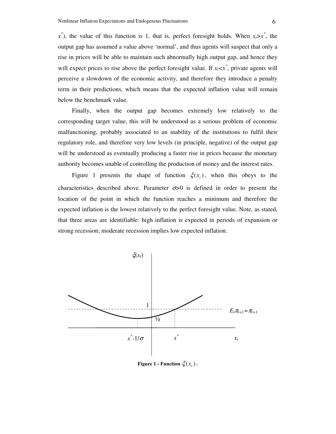*x*<sup>\*</sup>), the value of this function is 1, that is, perfect foresight holds. When  $x_t > x^*$ , the output gap has assumed a value above 'normal', and thus agents will suspect that only a rise in prices will be able to maintain such abnormally high output gap, and hence they will expect prices to rise above the perfect foresight value. If  $x_t < x^*$ , private agents will perceive a slowdown of the economic activity, and therefore they introduce a penalty term in their predictions, which means that the expected inflation value will remain below the benchmark value.

Finally, when the output gap becomes extremely low relatively to the corresponding target value, this will be understood as a serious problem of economic malfunctioning, probably associated to an inability of the institutions to fulfil their regulatory role, and therefore very low levels (in principle, negative) of the output gap will be understood as eventually producing a faster rise in prices because the monetary authority becomes unable of controlling the production of money and the interest rates.

Figure 1 presents the shape of function  $\xi(x_t)$ , when this obeys to the characteristics described above. Parameter  $\sigma$  is defined in order to present the location of the point in which the function reaches a minimum and therefore the expected inflation is the lowest relatively to the perfect foresight value. Note, as stated, that three areas are identifiable: high inflation is expected in periods of expansion or strong recession; moderate recession implies low expected inflation.



**Figure 1 - Function**  $\xi(x_t)$ .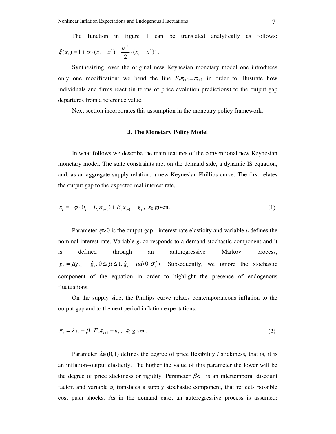The function in figure 1 can be translated analytically as follows:

$$
\xi(x_t) = 1 + \sigma \cdot (x_t - x^*) + \frac{\sigma^2}{2} \cdot (x_t - x^*)^2.
$$

Synthesizing, over the original new Keynesian monetary model one introduces only one modification: we bend the line  $E_t \pi_{t+1} = \pi_{t+1}$  in order to illustrate how individuals and firms react (in terms of price evolution predictions) to the output gap departures from a reference value.

Next section incorporates this assumption in the monetary policy framework.

#### **3. The Monetary Policy Model**

In what follows we describe the main features of the conventional new Keynesian monetary model. The state constraints are, on the demand side, a dynamic IS equation, and, as an aggregate supply relation, a new Keynesian Phillips curve. The first relates the output gap to the expected real interest rate,

$$
x_{t} = -\varphi \cdot (i_{t} - E_{t} \pi_{t+1}) + E_{t} x_{t+1} + g_{t}, \quad x_{0} \text{ given.} \tag{1}
$$

Parameter  $\varphi > 0$  is the output gap - interest rate elasticity and variable  $i_t$  defines the nominal interest rate. Variable  $g_t$  corresponds to a demand stochastic component and it is defined through an autoregressive Markov process,  $g_t = \mu g_{t-1} + \hat{g}_t$ ,  $0 \le \mu \le 1$ ,  $\hat{g}_t \sim \text{iid}(0, \sigma_s^2)$ . Subsequently, we ignore the stochastic component of the equation in order to highlight the presence of endogenous fluctuations.

On the supply side, the Phillips curve relates contemporaneous inflation to the output gap and to the next period inflation expectations,

$$
\pi_t = \lambda x_t + \beta \cdot E_t \pi_{t+1} + u_t, \quad \pi_0 \text{ given.}
$$
\n<sup>(2)</sup>

Parameter  $\lambda \in (0,1)$  defines the degree of price flexibility / stickiness, that is, it is an inflation–output elasticity. The higher the value of this parameter the lower will be the degree of price stickiness or rigidity. Parameter β*<*1 is an intertemporal discount factor, and variable  $u_t$  translates a supply stochastic component, that reflects possible cost push shocks. As in the demand case, an autoregressive process is assumed: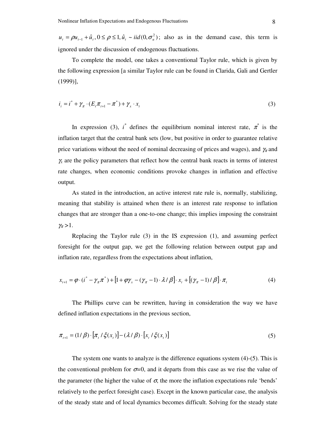$u_t = \rho u_{t-1} + \hat{u}_t$ ,  $0 \le \rho \le 1$ ,  $\hat{u}_t \sim \text{iid}(0, \sigma_u^2)$ ; also as in the demand case, this term is ignored under the discussion of endogenous fluctuations.

To complete the model, one takes a conventional Taylor rule, which is given by the following expression [a similar Taylor rule can be found in Clarida, Gali and Gertler (1999)],

$$
i_i = i^* + \gamma_\pi \cdot (E_t \pi_{t+1} - \pi^*) + \gamma_x \cdot x_t \tag{3}
$$

In expression (3),  $i^*$  defines the equilibrium nominal interest rate,  $\pi^*$  is the inflation target that the central bank sets (low, but positive in order to guarantee relative price variations without the need of nominal decreasing of prices and wages), and  $\gamma_{\pi}$  and <sup>γ</sup>*<sup>x</sup>* are the policy parameters that reflect how the central bank reacts in terms of interest rate changes, when economic conditions provoke changes in inflation and effective output.

As stated in the introduction, an active interest rate rule is, normally, stabilizing, meaning that stability is attained when there is an interest rate response to inflation changes that are stronger than a one-to-one change; this implies imposing the constraint  $\gamma_{\pi} > 1$ .

Replacing the Taylor rule (3) in the IS expression (1), and assuming perfect foresight for the output gap, we get the following relation between output gap and inflation rate, regardless from the expectations about inflation,

$$
x_{t+1} = \varphi \cdot (i^* - \gamma_\pi \pi^*) + [1 + \varphi \gamma_x - (\gamma_\pi - 1) \cdot \lambda / \beta] \cdot x_t + [(\gamma_\pi - 1) / \beta] \cdot \pi_t \tag{4}
$$

The Phillips curve can be rewritten, having in consideration the way we have defined inflation expectations in the previous section,

$$
\pi_{t+1} = (1/\beta) \cdot [\pi_t / \xi(x_t)] - (\lambda/\beta) \cdot [x_t / \xi(x_t)] \tag{5}
$$

The system one wants to analyze is the difference equations system (4)-(5). This is the conventional problem for  $\sigma=0$ , and it departs from this case as we rise the value of the parameter (the higher the value of  $\sigma$ , the more the inflation expectations rule 'bends' relatively to the perfect foresight case). Except in the known particular case, the analysis of the steady state and of local dynamics becomes difficult. Solving for the steady state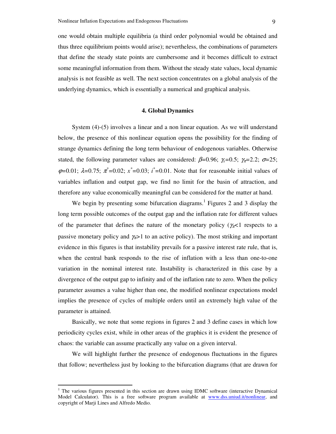one would obtain multiple equilibria (a third order polynomial would be obtained and thus three equilibrium points would arise); nevertheless, the combinations of parameters that define the steady state points are cumbersome and it becomes difficult to extract some meaningful information from them. Without the steady state values, local dynamic analysis is not feasible as well. The next section concentrates on a global analysis of the underlying dynamics, which is essentially a numerical and graphical analysis.

#### **4. Global Dynamics**

System (4)-(5) involves a linear and a non linear equation. As we will understand below, the presence of this nonlinear equation opens the possibility for the finding of strange dynamics defining the long term behaviour of endogenous variables. Otherwise stated, the following parameter values are considered:  $\beta$ =0.96;  $\gamma$ <sub>x</sub>=0.5;  $\gamma$ <sub>x</sub>=2.2;  $\sigma$ =25;  $\varphi$ =0.01;  $\lambda$ =0.75;  $\pi$ <sup>\*</sup>=0.02;  $x$ <sup>\*</sup>=0.03; *i*<sup>\*</sup>=0.01. Note that for reasonable initial values of variables inflation and output gap, we find no limit for the basin of attraction, and therefore any value economically meaningful can be considered for the matter at hand.

We begin by presenting some bifurcation diagrams.<sup>1</sup> Figures 2 and 3 display the long term possible outcomes of the output gap and the inflation rate for different values of the parameter that defines the nature of the monetary policy ( $\gamma$ <sup> $\approx$ </sup>) respects to a passive monetary policy and  $\gamma_{\pi}>1$  to an active policy). The most striking and important evidence in this figures is that instability prevails for a passive interest rate rule, that is, when the central bank responds to the rise of inflation with a less than one-to-one variation in the nominal interest rate. Instability is characterized in this case by a divergence of the output gap to infinity and of the inflation rate to zero. When the policy parameter assumes a value higher than one, the modified nonlinear expectations model implies the presence of cycles of multiple orders until an extremely high value of the parameter is attained.

Basically, we note that some regions in figures 2 and 3 define cases in which low periodicity cycles exist, while in other areas of the graphics it is evident the presence of chaos: the variable can assume practically any value on a given interval.

We will highlight further the presence of endogenous fluctuations in the figures that follow; nevertheless just by looking to the bifurcation diagrams (that are drawn for

 $\ddot{\phantom{a}}$ 

<sup>1</sup> The various figures presented in this section are drawn using IDMC software (interactive Dynamical Model Calculator). This is a free software program available at www.dss.uniud.it/nonlinear, and copyright of Marji Lines and Alfredo Medio.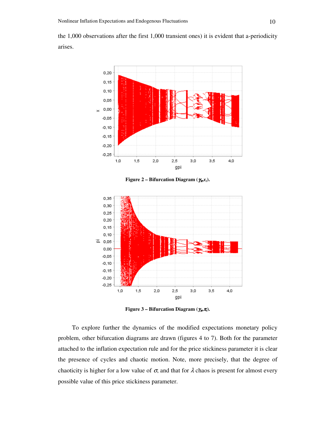the 1,000 observations after the first 1,000 transient ones) it is evident that a-periodicity arises.



**Figure 2 – Bifurcation Diagram (** $\gamma_{\mathbf{x}} x_t$ **).** 



**Figure 3 – Bifurcation Diagram (** $\gamma_{\bm{\pi}}\pi$ **).** 

To explore further the dynamics of the modified expectations monetary policy problem, other bifurcation diagrams are drawn (figures 4 to 7). Both for the parameter attached to the inflation expectation rule and for the price stickiness parameter it is clear the presence of cycles and chaotic motion. Note, more precisely, that the degree of chaoticity is higher for a low value of  $\sigma$ , and that for  $\lambda$  chaos is present for almost every possible value of this price stickiness parameter.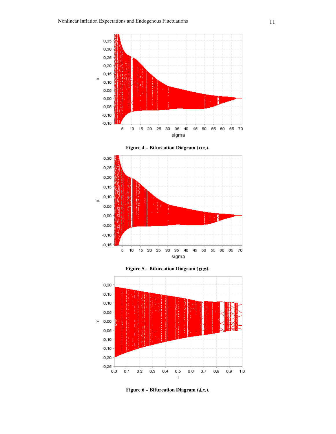









**Figure 6 – Bifurcation Diagram (** $\lambda x_t$ **).**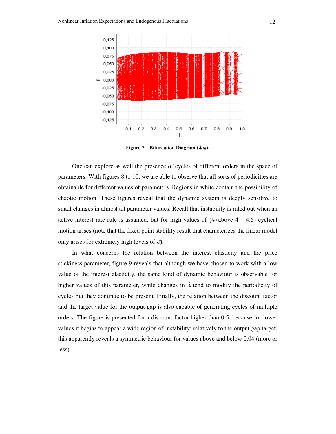

**Figure 7 – Bifurcation Diagram**  $(\lambda, \pi)$ **.** 

One can explore as well the presence of cycles of different orders in the space of parameters. With figures 8 to 10, we are able to observe that all sorts of periodicities are obtainable for different values of parameters. Regions in white contain the possibility of chaotic motion. These figures reveal that the dynamic system is deeply sensitive to small changes in almost all parameter values. Recall that instability is ruled out when an active interest rate rule is assumed, but for high values of  $\gamma_{\pi}$  (above 4 – 4.5) cyclical motion arises (note that the fixed point stability result that characterizes the linear model only arises for extremely high levels of  $\sigma$ .

In what concerns the relation between the interest elasticity and the price stickiness parameter, figure 9 reveals that although we have chosen to work with a low value of the interest elasticity, the same kind of dynamic behaviour is observable for higher values of this parameter, while changes in  $\lambda$  tend to modify the periodicity of cycles but they continue to be present. Finally, the relation between the discount factor and the target value for the output gap is also capable of generating cycles of multiple orders. The figure is presented for a discount factor higher than 0.5, because for lower values it begins to appear a wide region of instability; relatively to the output gap target, this apparently reveals a symmetric behaviour for values above and below 0.04 (more or less).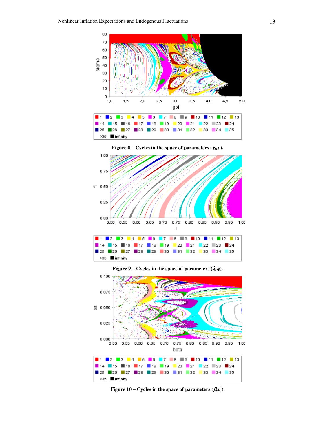





**Figure 9 – Cycles in the space of parameters**  $(\lambda, \varphi)$ **.** 



**Figure 10 – Cycles in the space of parameters**  $(\boldsymbol{\beta} x^*)$ **.**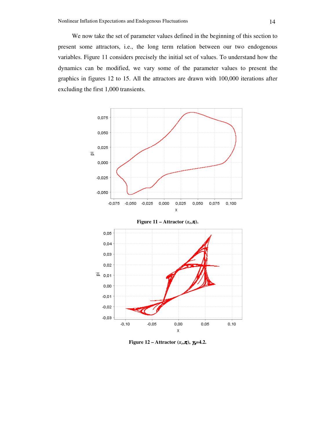We now take the set of parameter values defined in the beginning of this section to present some attractors, i.e., the long term relation between our two endogenous variables. Figure 11 considers precisely the initial set of values. To understand how the dynamics can be modified, we vary some of the parameter values to present the graphics in figures 12 to 15. All the attractors are drawn with 100,000 iterations after excluding the first 1,000 transients.



**Figure 12 – Attractor**  $(x_t, \pi)$ ,  $\gamma_{\pi} = 4.2$ .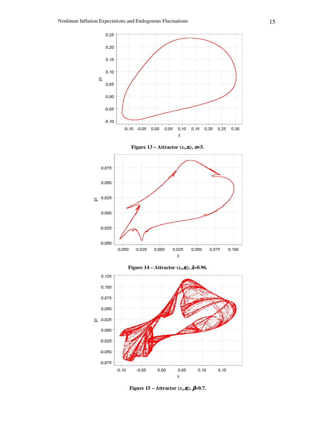

**Figure 15 – Attractor**  $(x_t, \pi_t)$ ,  $\beta = 0.7$ .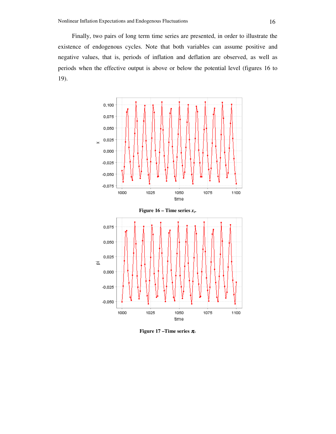Finally, two pairs of long term time series are presented, in order to illustrate the existence of endogenous cycles. Note that both variables can assume positive and negative values, that is, periods of inflation and deflation are observed, as well as periods when the effective output is above or below the potential level (figures 16 to 19).



**Figure 17 –Time series** <sup>π</sup>*<sup>t</sup>* **.**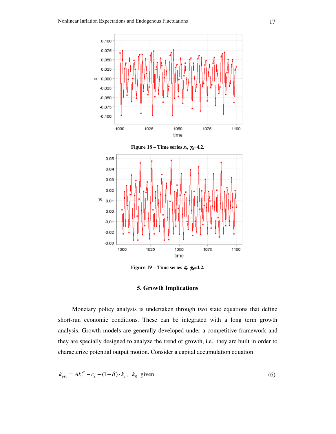

**Figure 19 – Time series π, γπ=4.2.** 

#### **5. Growth Implications**

Monetary policy analysis is undertaken through two state equations that define short-run economic conditions. These can be integrated with a long term growth analysis. Growth models are generally developed under a competitive framework and they are specially designed to analyze the trend of growth, i.e., they are built in order to characterize potential output motion. Consider a capital accumulation equation

$$
k_{t+1} = Ak_t^{\alpha} - c_t + (1 - \delta) \cdot k_t, \ \ k_0 \ \text{given} \tag{6}
$$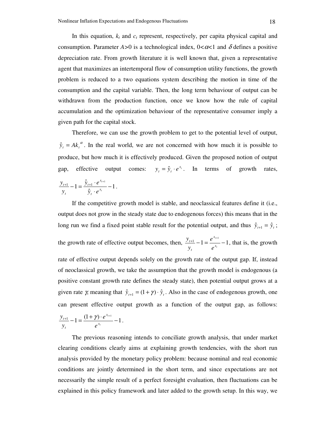In this equation,  $k_t$  and  $c_t$  represent, respectively, per capita physical capital and consumption. Parameter  $A > 0$  is a technological index,  $0 < \alpha < 1$  and  $\delta$  defines a positive depreciation rate. From growth literature it is well known that, given a representative agent that maximizes an intertemporal flow of consumption utility functions, the growth problem is reduced to a two equations system describing the motion in time of the consumption and the capital variable. Then, the long term behaviour of output can be withdrawn from the production function, once we know how the rule of capital accumulation and the optimization behaviour of the representative consumer imply a given path for the capital stock.

Therefore, we can use the growth problem to get to the potential level of output,  $\hat{y}_t = Ak_t^{\alpha}$ . In the real world, we are not concerned with how much it is possible to produce, but how much it is effectively produced. Given the proposed notion of output gap, effective output comes:  $y_t = \hat{y}_t \cdot e^{x_t}$  $y_t = \hat{y}_t \cdot e^{x_t}$ . In terms of growth rates, 1 ˆ ˆ  $\frac{1}{1} - 1 = \frac{\hat{y}_{t+1} \cdot e^{x_{t+1}}}{2} -$ ⋅  $\frac{+1}{-1} - 1 = \frac{\hat{y}_{t+1} \cdot e^{x_{t+1}}}{2}$ *t t x t x t t t*  $\hat{y}$ <sub>t</sub>  $\cdot$  e  $\hat{y}_{t+1} \cdot e$ *y*  $y_{t+1}$  – 1 =  $\frac{\hat{y}_{t+1} \cdot e^{x_{t+1}}}{2}$  – 1.

If the competitive growth model is stable, and neoclassical features define it (i.e., output does not grow in the steady state due to endogenous forces) this means that in the long run we find a fixed point stable result for the potential output, and thus  $\hat{y}_{t+1} = \hat{y}_t$ ; the growth rate of effective output becomes, then,  $\frac{y_{t+1}}{y_{t+1}} - 1 = \frac{e^{x_{t+1}}}{x} - 1$ *t t x x t t e e y*  $y_{t+1} - 1 = \frac{e^{x_{t+1}}}{x} - 1$ , that is, the growth rate of effective output depends solely on the growth rate of the output gap. If, instead of neoclassical growth, we take the assumption that the growth model is endogenous (a positive constant growth rate defines the steady state), then potential output grows at a given rate *γ*, meaning that  $\hat{y}_{t+1} = (1 + \gamma) \cdot \hat{y}_t$ . Also in the case of endogenous growth, one can present effective output growth as a function of the output gap, as follows:

$$
\frac{y_{t+1}}{y_t} - 1 = \frac{(1+\gamma) \cdot e^{x_{t+1}}}{e^{x_t}} - 1.
$$

The previous reasoning intends to conciliate growth analysis, that under market clearing conditions clearly aims at explaining growth tendencies, with the short run analysis provided by the monetary policy problem: because nominal and real economic conditions are jointly determined in the short term, and since expectations are not necessarily the simple result of a perfect foresight evaluation, then fluctuations can be explained in this policy framework and later added to the growth setup. In this way, we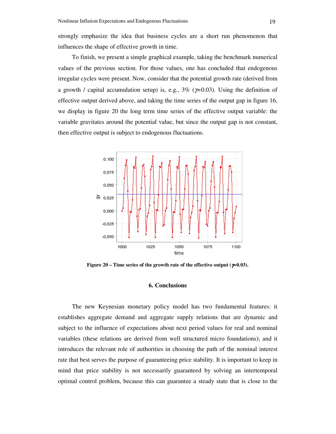strongly emphasize the idea that business cycles are a short run phenomenon that influences the shape of effective growth in time.

To finish, we present a simple graphical example, taking the benchmark numerical values of the previous section. For those values, one has concluded that endogenous irregular cycles were present. Now, consider that the potential growth rate (derived from a growth / capital accumulation setup) is, e.g.,  $3\%$  ( $\gamma$ =0.03). Using the definition of effective output derived above, and taking the time series of the output gap in figure 16, we display in figure 20 the long term time series of the effective output variable: the variable gravitates around the potential value, but since the output gap is not constant, then effective output is subject to endogenous fluctuations.



**Figure 20 – Time series of the growth rate of the effective output (**γ*=***0.03).** 

### **6. Conclusions**

The new Keynesian monetary policy model has two fundamental features: it establishes aggregate demand and aggregate supply relations that are dynamic and subject to the influence of expectations about next period values for real and nominal variables (these relations are derived from well structured micro foundations); and it introduces the relevant role of authorities in choosing the path of the nominal interest rate that best serves the purpose of guaranteeing price stability. It is important to keep in mind that price stability is not necessarily guaranteed by solving an intertemporal optimal control problem, because this can guarantee a steady state that is close to the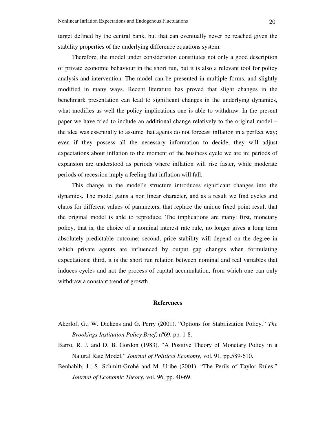target defined by the central bank, but that can eventually never be reached given the stability properties of the underlying difference equations system.

Therefore, the model under consideration constitutes not only a good description of private economic behaviour in the short run, but it is also a relevant tool for policy analysis and intervention. The model can be presented in multiple forms, and slightly modified in many ways. Recent literature has proved that slight changes in the benchmark presentation can lead to significant changes in the underlying dynamics, what modifies as well the policy implications one is able to withdraw. In the present paper we have tried to include an additional change relatively to the original model – the idea was essentially to assume that agents do not forecast inflation in a perfect way; even if they possess all the necessary information to decide, they will adjust expectations about inflation to the moment of the business cycle we are in: periods of expansion are understood as periods where inflation will rise faster, while moderate periods of recession imply a feeling that inflation will fall.

This change in the model's structure introduces significant changes into the dynamics. The model gains a non linear character, and as a result we find cycles and chaos for different values of parameters, that replace the unique fixed point result that the original model is able to reproduce. The implications are many: first, monetary policy, that is, the choice of a nominal interest rate rule, no longer gives a long term absolutely predictable outcome; second, price stability will depend on the degree in which private agents are influenced by output gap changes when formulating expectations; third, it is the short run relation between nominal and real variables that induces cycles and not the process of capital accumulation, from which one can only withdraw a constant trend of growth.

#### **References**

- Akerlof, G.; W. Dickens and G. Perry (2001). "Options for Stabilization Policy." *The Brookings Institution Policy Brief*, nº69, pp. 1-8.
- Barro, R. J. and D. B. Gordon (1983). "A Positive Theory of Monetary Policy in a Natural Rate Model." *Journal of Political Economy*, vol. 91, pp.589-610.
- Benhabib, J.; S. Schmitt-Grohé and M. Uribe (2001). "The Perils of Taylor Rules." *Journal of Economic Theory*, vol. 96, pp. 40-69.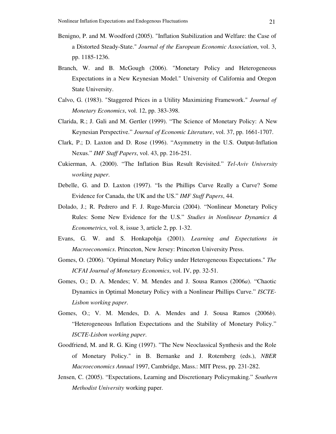- Benigno, P. and M. Woodford (2005). "Inflation Stabilization and Welfare: the Case of a Distorted Steady-State." *Journal of the European Economic Association*, vol. 3, pp. 1185-1236.
- Branch, W. and B. McGough (2006). "Monetary Policy and Heterogeneous Expectations in a New Keynesian Model." University of California and Oregon State University.
- Calvo, G. (1983). "Staggered Prices in a Utility Maximizing Framework." *Journal of Monetary Economics*, vol. 12, pp. 383-398.
- Clarida, R.; J. Gali and M. Gertler (1999). "The Science of Monetary Policy: A New Keynesian Perspective." *Journal of Economic Literature*, vol. 37, pp. 1661-1707.
- Clark, P.; D. Laxton and D. Rose (1996). "Asymmetry in the U.S. Output-Inflation Nexus." *IMF Staff Papers*, vol. 43, pp. 216-251.
- Cukierman, A. (2000). "The Inflation Bias Result Revisited." *Tel-Aviv University working paper*.
- Debelle, G. and D. Laxton (1997). "Is the Phillips Curve Really a Curve? Some Evidence for Canada, the UK and the US." *IMF Staff Papers*, 44.
- Dolado, J.; R. Pedrero and F. J. Ruge-Murcia (2004). "Nonlinear Monetary Policy Rules: Some New Evidence for the U.S." *Studies in Nonlinear Dynamics & Econometrics*, vol. 8, issue 3, article 2, pp. 1-32.
- Evans, G. W. and S. Honkapohja (2001). *Learning and Expectations in Macroeconomics*. Princeton, New Jersey: Princeton University Press.
- Gomes, O. (2006). "Optimal Monetary Policy under Heterogeneous Expectations." *The ICFAI Journal of Monetary Economics*, vol. IV, pp. 32-51.
- Gomes, O.; D. A. Mendes; V. M. Mendes and J. Sousa Ramos (2006*a*). "Chaotic Dynamics in Optimal Monetary Policy with a Nonlinear Phillips Curve." *ISCTE-Lisbon working paper*.
- Gomes, O.; V. M. Mendes, D. A. Mendes and J. Sousa Ramos (2006*b*). "Heterogeneous Inflation Expectations and the Stability of Monetary Policy." *ISCTE-Lisbon working paper*.
- Goodfriend, M. and R. G. King (1997). "The New Neoclassical Synthesis and the Role of Monetary Policy." in B. Bernanke and J. Rotemberg (eds.), *NBER Macroeconomics Annual* 1997, Cambridge, Mass.: MIT Press, pp. 231-282.
- Jensen, C. (2005). "Expectations, Learning and Discretionary Policymaking." *Southern Methodist University* working paper.